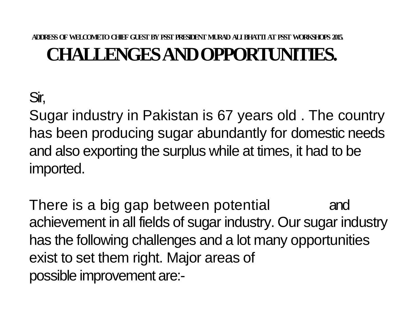#### **ADDRESS OF WELCOME TOCHIEFGUESTBYPSSTPRESIDENT MURAD ALI BHATTI AT PSST WORKSHOPS 2015. CHALLENGES AND OPPORTUNITIES.**

# Sir,

Sugar industry in Pakistan is 67 years old . The country has been producing sugar abundantly for domestic needs and also exporting the surplus while at times, it had to be imported.

There is a big gap between potential and achievement in all fields of sugar industry. Our sugar industry has the following challenges and a lot many opportunities exist to set them right. Major areas of possible improvement are:-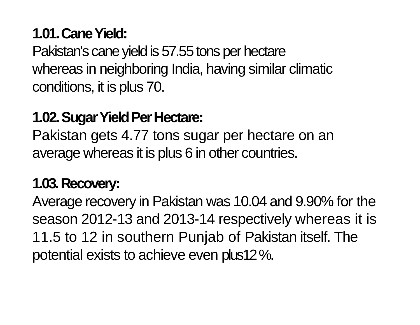# **1.01. Cane Yield:**

Pakistan's cane yield is 57.55 tons per hectare whereas in neighboring India, having similar climatic conditions, it is plus 70.

## **1.02. Sugar Yield Per Hectare:**

Pakistan gets 4.77 tons sugar per hectare on an average whereas it is plus 6 in other countries.

## **1.03. Recovery:**

Average recovery in Pakistan was 10.04 and 9.90% for the season 2012-13 and 2013-14 respectively whereas it is 11.5 to 12 in southern Punjab of Pakistan itself. The potential exists to achieve even plus12 %.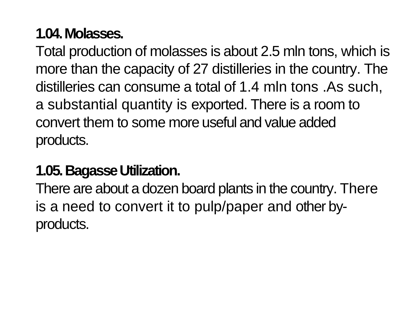# **1.04. Molasses.**

Total production of molasses is about 2.5 mln tons, which is more than the capacity of 27 distilleries in the country. The distilleries can consume a total of 1.4 mln tons .As such, a substantial quantity is exported. There is a room to convert them to some more useful and value added products.

#### **1.05. Bagasse Utilization.**

There are about a dozen board plants in the country. There is a need to convert it to pulp/paper and other byproducts.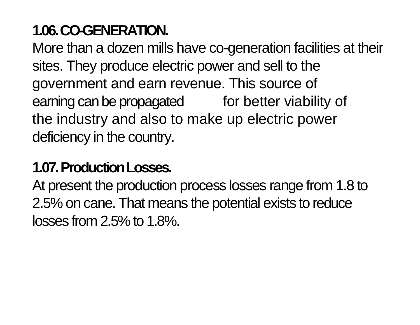# **1.06. CO-GENERATION.**

More than a dozen mills have co-generation facilities at their sites. They produce electric power and sell to the government and earn revenue. This source of earning can be propagated for better viability of the industry and also to make up electric power deficiency in the country.

# **1.07. Production Losses.**

At present the production process losses range from 1.8 to 2.5% on cane. That means the potential exists to reduce losses from 2.5% to 1.8%.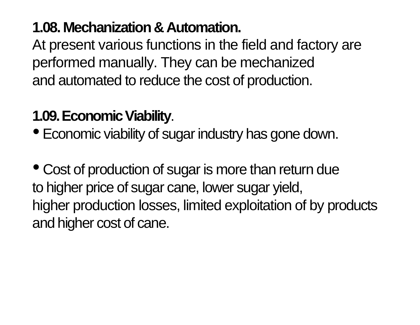## **1.08. Mechanization & Automation.**

At present various functions in the field and factory are performed manually. They can be mechanized and automated to reduce the cost of production.

## **1.09. Economic Viability**.

• Economic viability of sugar industry has gone down.

• Cost of production of sugar is more than return due to higher price of sugar cane, lower sugar yield, higher production losses, limited exploitation of by products and higher cost of cane.